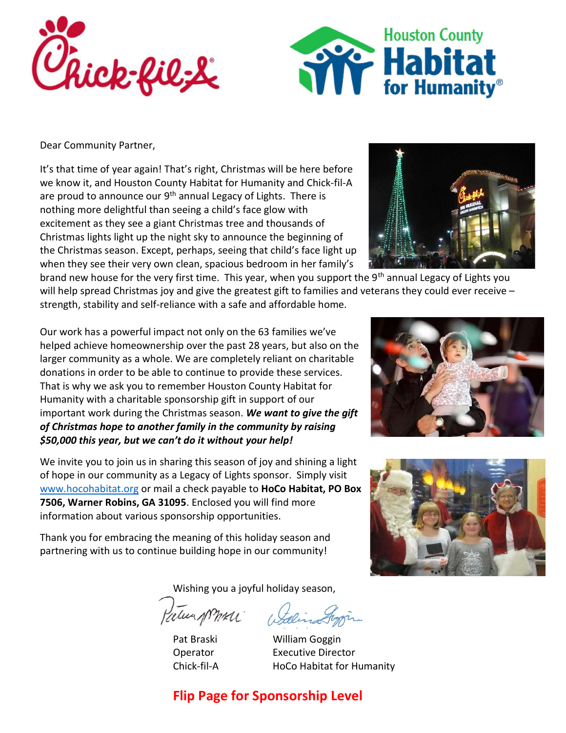



Dear Community Partner,

It's that time of year again! That's right, Christmas will be here before we know it, and Houston County Habitat for Humanity and Chick-fil-A are proud to announce our 9<sup>th</sup> annual Legacy of Lights. There is nothing more delightful than seeing a child's face glow with excitement as they see a giant Christmas tree and thousands of Christmas lights light up the night sky to announce the beginning of the Christmas season. Except, perhaps, seeing that child's face light up when they see their very own clean, spacious bedroom in her family's

brand new house for the very first time. This year, when you support the 9<sup>th</sup> annual Legacy of Lights you will help spread Christmas joy and give the greatest gift to families and veterans they could ever receive strength, stability and self-reliance with a safe and affordable home.

Our work has a powerful impact not only on the 63 families we've helped achieve homeownership over the past 28 years, but also on the larger community as a whole. We are completely reliant on charitable donations in order to be able to continue to provide these services. That is why we ask you to remember Houston County Habitat for Humanity with a charitable sponsorship gift in support of our important work during the Christmas season. We want to give the gift of Christmas hope to another family in the community by raising \$50,000 this year, but we can't do it without your help!

We invite you to join us in sharing this season of joy and shining a light of hope in our community as a Legacy of Lights sponsor. Simply visit www.hocohabitat.org or mail a check payable to HoCo Habitat, PO Box 7506, Warner Robins, GA 31095. Enclosed you will find more information about various sponsorship opportunities.

Thank you for embracing the meaning of this holiday season and partnering with us to continue building hope in our community!

Wishing you a joyful holiday season,

Patien promer

Pat Braski William Goggin Operator Executive Director Chick-fil-A HoCo Habitat for Humanity

## Flip Page for Sponsorship Level